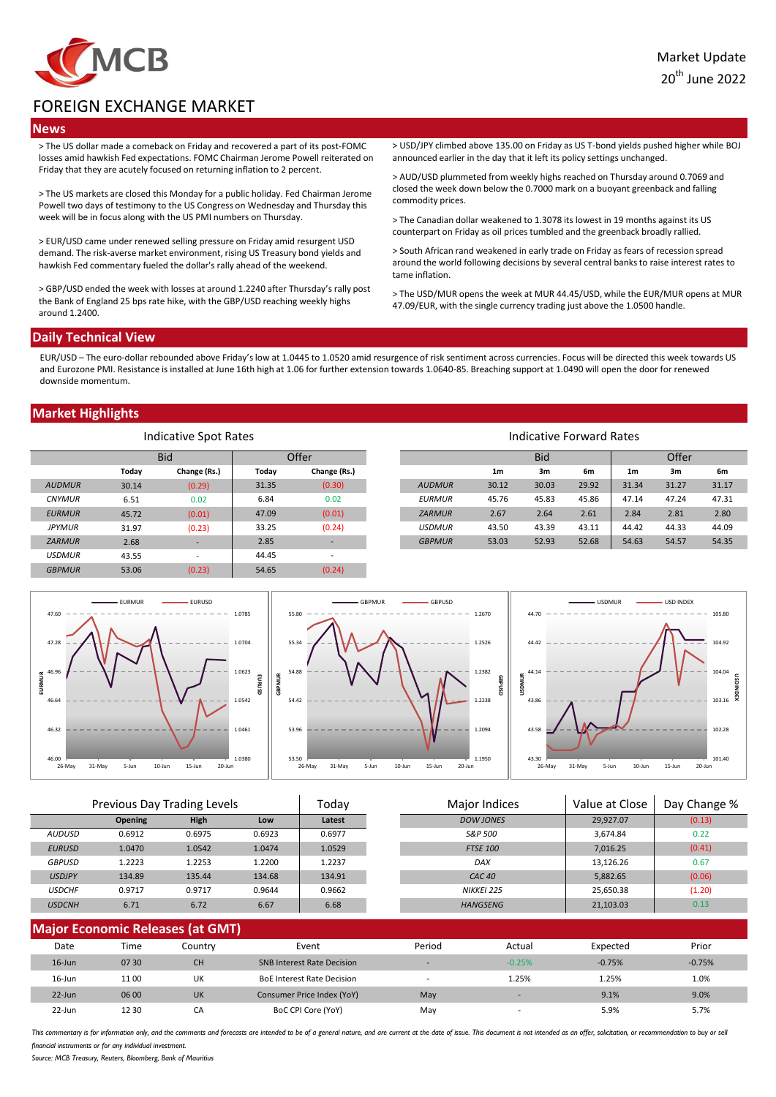

20th June 2022.

# FOREIGN EXCHANGE MARKET

### **News**

> The US dollar made a comeback on Friday and recovered a part of its post-FOMC losses amid hawkish Fed expectations. FOMC Chairman Jerome Powell reiterated on Friday that they are acutely focused on returning inflation to 2 percent.

> The US markets are closed this Monday for a public holiday. Fed Chairman Jerome Powell two days of testimony to the US Congress on Wednesday and Thursday this week will be in focus along with the US PMI numbers on Thursday.

> EUR/USD came under renewed selling pressure on Friday amid resurgent USD demand. The risk-averse market environment, rising US Treasury bond yields and hawkish Fed commentary fueled the dollar's rally ahead of the weekend.

> GBP/USD ended the week with losses at around 1.2240 after Thursday's rally post the Bank of England 25 bps rate hike, with the GBP/USD reaching weekly highs around 1.2400.

> USD/JPY climbed above 135.00 on Friday as US T-bond yields pushed higher while BOJ announced earlier in the day that it left its policy settings unchanged.

> AUD/USD plummeted from weekly highs reached on Thursday around 0.7069 and closed the week down below the 0.7000 mark on a buoyant greenback and falling commodity prices.

> The Canadian dollar weakened to 1.3078 its lowest in 19 months against its US counterpart on Friday as oil prices tumbled and the greenback broadly rallied.

> South African rand weakened in early trade on Friday as fears of recession spread around the world following decisions by several central banks to raise interest rates to tame inflation.

> The USD/MUR opens the week at MUR 44.45/USD, while the EUR/MUR opens at MUR 47.09/EUR, with the single currency trading just above the 1.0500 handle.

## **Daily Technical View**

EUR/USD – The euro-dollar rebounded above Friday's low at 1.0445 to 1.0520 amid resurgence of risk sentiment across currencies. Focus will be directed this week towards US and Eurozone PMI. Resistance is installed at June 16th high at 1.06 for further extension towards 1.0640-85. Breaching support at 1.0490 will open the door for renewed downside momentum.

## **Market Highlights**

| Indicative Spot Rates |       |                          | Indicative Forward Rates |                |               |                |            |       |                |       |       |
|-----------------------|-------|--------------------------|--------------------------|----------------|---------------|----------------|------------|-------|----------------|-------|-------|
|                       |       | <b>Bid</b>               |                          | Offer          |               |                | <b>Bid</b> |       |                | Offer |       |
|                       | Today | Change (Rs.)             | Today                    | Change (Rs.)   |               | 1 <sub>m</sub> | 3m         | 6m    | 1 <sub>m</sub> | 3m    | 6m    |
| <b>AUDMUR</b>         | 30.14 | (0.29)                   | 31.35                    | (0.30)         | <b>AUDMUR</b> | 30.12          | 30.03      | 29.92 | 31.34          | 31.27 | 31.17 |
| <b>CNYMUR</b>         | 6.51  | 0.02                     | 6.84                     | 0.02           | <b>EURMUR</b> | 45.76          | 45.83      | 45.86 | 47.14          | 47.24 | 47.31 |
| <b>EURMUR</b>         | 45.72 | (0.01)                   | 47.09                    | (0.01)         | <b>ZARMUR</b> | 2.67           | 2.64       | 2.61  | 2.84           | 2.81  | 2.80  |
| <b>JPYMUR</b>         | 31.97 | (0.23)                   | 33.25                    | (0.24)         | <b>USDMUR</b> | 43.50          | 43.39      | 43.11 | 44.42          | 44.33 | 44.09 |
| <b>ZARMUR</b>         | 2.68  |                          | 2.85                     | н.             | <b>GBPMUR</b> | 53.03          | 52.93      | 52.68 | 54.63          | 54.57 | 54.35 |
| <b>USDMUR</b>         | 43.55 | $\overline{\phantom{a}}$ | 44.45                    | $\overline{a}$ |               |                |            |       |                |       |       |
| <b>GBPMUR</b>         | 53.06 | (0.23)                   | 54.65                    | (0.24)         |               |                |            |       |                |       |       |



| Previous Day Trading Levels |                |             | Todav  | Major Indices |  | Value at Close    | Day Change % |        |
|-----------------------------|----------------|-------------|--------|---------------|--|-------------------|--------------|--------|
|                             | <b>Opening</b> | <b>High</b> | Low    | Latest        |  | <b>DOW JONES</b>  | 29,927.07    | (0.13) |
| AUDUSD                      | 0.6912         | 0.6975      | 0.6923 | 0.6977        |  | S&P 500           | 3,674.84     | 0.22   |
| <b>EURUSD</b>               | 1.0470         | 1.0542      | 1.0474 | 1.0529        |  | <b>FTSE 100</b>   | 7,016.25     | (0.41) |
| <b>GBPUSD</b>               | 1.2223         | 1.2253      | 1.2200 | 1.2237        |  | <b>DAX</b>        | 13,126.26    | 0.67   |
| <b>USDJPY</b>               | 134.89         | 135.44      | 134.68 | 134.91        |  | CAC40             | 5.882.65     | (0.06) |
| <b>USDCHF</b>               | 0.9717         | 0.9717      | 0.9644 | 0.9662        |  | <b>NIKKEI 225</b> | 25,650.38    | (1.20) |
| <b>USDCNH</b>               | 6.71           | 6.72        | 6.67   | 6.68          |  | <b>HANGSENG</b>   | 21,103.03    | 0.13   |
|                             |                |             |        |               |  |                   |              |        |

| <b>Major Economic Releases (at GMT)</b> |       |           |                                   |                          |                          |          |          |  |  |
|-----------------------------------------|-------|-----------|-----------------------------------|--------------------------|--------------------------|----------|----------|--|--|
| Date                                    | Time  | Countrv   | Event                             | Period                   | Actual                   | Expected | Prior    |  |  |
| $16$ -Jun                               | 07 30 | <b>CH</b> | <b>SNB Interest Rate Decision</b> | ÷                        | $-0.25%$                 | $-0.75%$ | $-0.75%$ |  |  |
| $16$ -Jun                               | 11 00 | UK        | <b>BoE Interest Rate Decision</b> | $\overline{\phantom{a}}$ | 1.25%                    | 1.25%    | 1.0%     |  |  |
| $22$ -Jun                               | 06 00 | <b>UK</b> | Consumer Price Index (YoY)        | May                      | $\overline{\phantom{a}}$ | 9.1%     | 9.0%     |  |  |
| $22$ -Jun                               | 12 30 | СA        | BoC CPI Core (YoY)                | May                      | $\overline{\phantom{a}}$ | 5.9%     | 5.7%     |  |  |

This commentary is for information only, and the comments and forecasts are intended to be of a general nature, and are current at the date of issue. This document is not intended as an offer, solicitation, or recommendati financial instruments or for any individual investment

*Source: MCB Treasury, Reuters, Bloomberg, Bank of Mauritius*